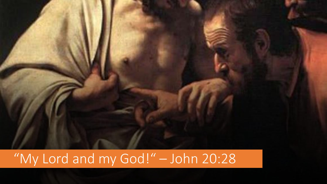

## "My Lord and my God!" – John 20:28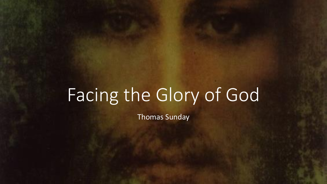## Facing the Glory of God

Thomas Sunday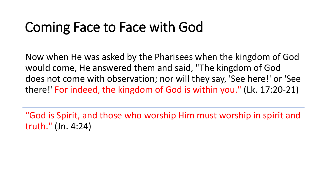## Coming Face to Face with God

Now when He was asked by the Pharisees when the kingdom of God would come, He answered them and said, "The kingdom of God does not come with observation; nor will they say, 'See here!' or 'See there!' For indeed, the kingdom of God is within you." (Lk. 17:20-21)

"God is Spirit, and those who worship Him must worship in spirit and truth." (Jn. 4:24)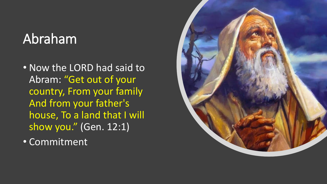## Abraham

- Now the LORD had said to Abram: "Get out of your country, From your family And from your father's house, To a land that I will show you." (Gen. 12:1)
- Commitment

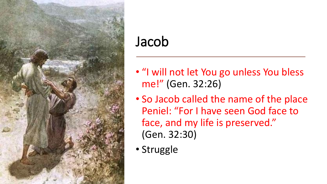

### Jacob

- "I will not let You go unless You bless me!" (Gen. 32:26)
- So Jacob called the name of the place Peniel: "For I have seen God face to face, and my life is preserved." (Gen. 32:30)
- Struggle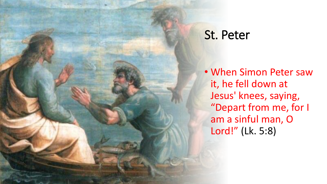#### St. Peter

• When Simon Peter saw it, he fell down at Jesus' knees, saying, "Depart from me, for I am a sinful man, O Lord!" (Lk. 5:8)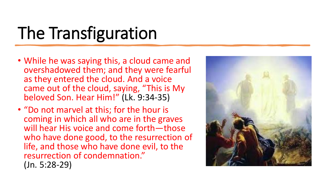# The Transfiguration

- While he was saying this, a cloud came and overshadowed them; and they were fearful as they entered the cloud. And a voice came out of the cloud, saying, "This is My beloved Son. Hear Him!" (Lk. 9:34-35)
- "Do not marvel at this; for the hour is coming in which all who are in the graves will hear His voice and come forth—those who have done good, to the resurrection of life, and those who have done evil, to the resurrection of condemnation." (Jn. 5:28-29)

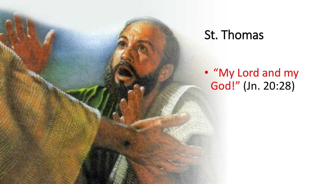#### St. Thomas

• "My Lord and my God!" (Jn. 20:28)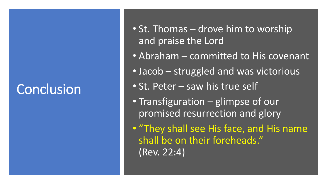## **Conclusion**

- St. Thomas drove him to worship and praise the Lord
- Abraham committed to His covenant
- Jacob struggled and was victorious
- St. Peter saw his true self
- Transfiguration glimpse of our promised resurrection and glory

• "They shall see His face, and His name shall be on their foreheads." (Rev. 22:4)